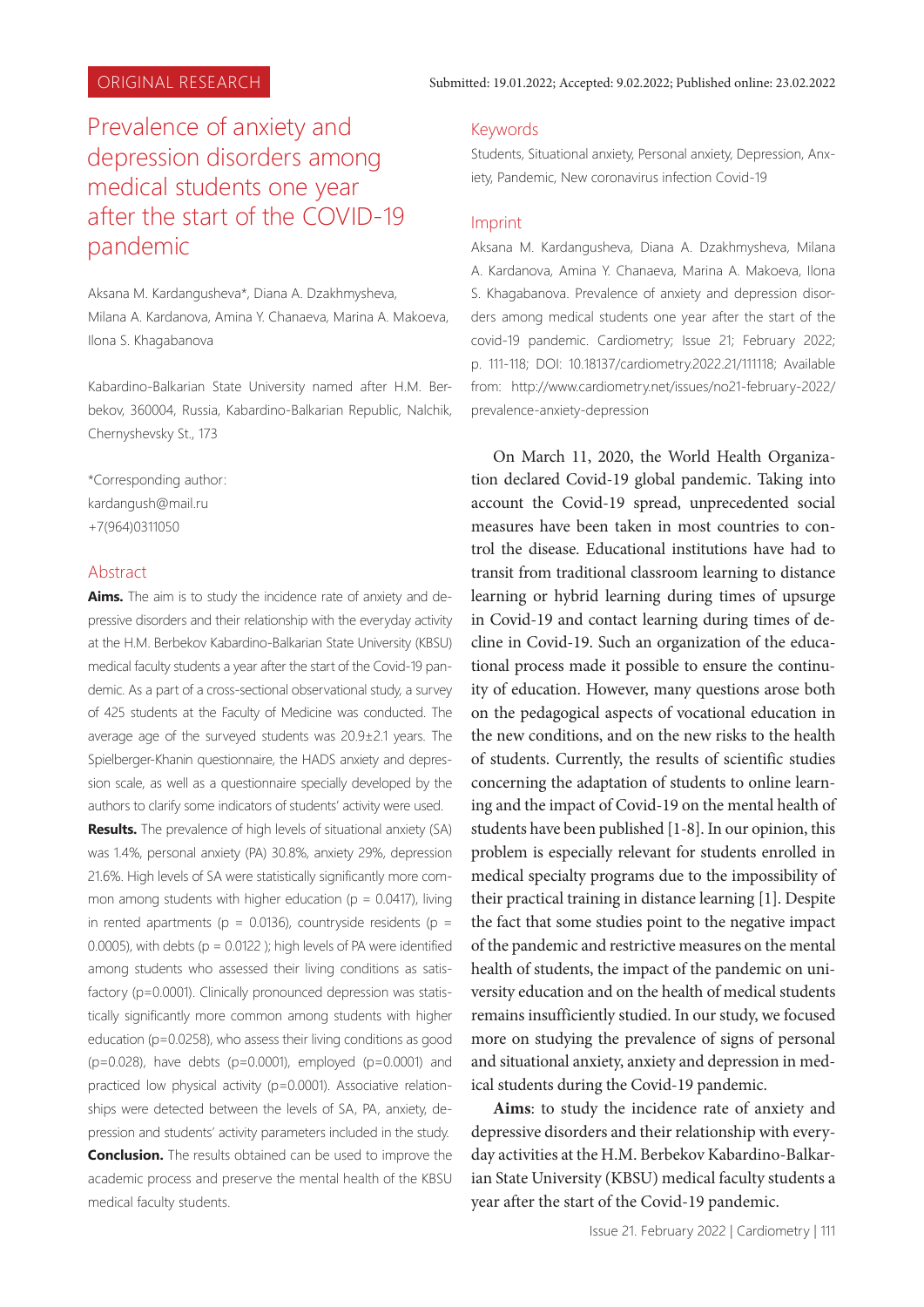# Prevalence of anxiety and depression disorders among medical students one year after the start of the COVID-19 pandemic

Аksana M. Kаrdаngushevа\*, Diana A. Dzakhmysheva, Milana A. Kardanova, Amina Y. Chanaeva, Marina A. Makoeva, Ilona S. Khagabanova

Kabardino-Balkarian State University named after H.M. Berbekov, 360004, Russia, Kabardino-Balkarian Republic, Nalchik, Chernyshevsky St., 173

\*Corresponding author: kardangush@mail.ru +7(964)0311050

## Abstract

**Aims.** The aim is to study the incidence rate of anxiety and depressive disorders and their relationship with the everyday activity at the H.M. Berbekov Kabardino-Balkarian State University (KBSU) medical faculty students a year after the start of the Covid-19 pandemic. As a part of a cross-sectional observational study, a survey of 425 students at the Faculty of Medicine was conducted. The average age of the surveyed students was 20.9±2.1 years. The Spielberger-Khanin questionnaire, the HADS anxiety and depression scale, as well as a questionnaire specially developed by the authors to clarify some indicators of students' activity were used.

**Results.** The prevalence of high levels of situational anxiety (SA) was 1.4%, personal anxiety (PA) 30.8%, anxiety 29%, depression 21.6%. High levels of SA were statistically significantly more common among students with higher education ( $p = 0.0417$ ), living in rented apartments ( $p = 0.0136$ ), countryside residents ( $p =$ 0.0005), with debts ( $p = 0.0122$ ); high levels of PA were identified among students who assessed their living conditions as satisfactory (p=0.0001). Clinically pronounced depression was statistically significantly more common among students with higher education (p=0.0258), who assess their living conditions as good (p=0.028), have debts (p=0.0001), employed (p=0.0001) and practiced low physical activity (p=0.0001). Associative relationships were detected between the levels of SA, PA, anxiety, depression and students' activity parameters included in the study.

**Conclusion.** The results obtained can be used to improve the academic process and preserve the mental health of the KBSU medical faculty students.

#### Keywords

Students, Situational anxiety, Personal anxiety, Depression, Anxiety, Pandemic, New coronavirus infection Covid-19

#### Imprint

Аksana M. Kаrdаngushevа, Diana A. Dzakhmysheva, Milana A. Kardanova, Amina Y. Chanaeva, Marina A. Makoeva, Ilona S. Khagabanova. Prevalence of anxiety and depression disorders among medical students one year after the start of the covid-19 pandemic. Cardiometry; Issue 21; February 2022; p. 111-118; DOI: 10.18137/cardiometry.2022.21/111118; Available from: http://www.cardiometry.net/issues/no21-february-2022/ prevalence-anxiety-depression

On March 11, 2020, the World Health Organization declared Covid-19 global pandemic. Taking into account the Covid-19 spread, unprecedented social measures have been taken in most countries to control the disease. Educational institutions have had to transit from traditional classroom learning to distance learning or hybrid learning during times of upsurge in Covid-19 and contact learning during times of decline in Covid-19. Such an organization of the educational process made it possible to ensure the continuity of education. However, many questions arose both on the pedagogical aspects of vocational education in the new conditions, and on the new risks to the health of students. Currently, the results of scientific studies concerning the adaptation of students to online learning and the impact of Covid-19 on the mental health of students have been published [1-8]. In our opinion, this problem is especially relevant for students enrolled in medical specialty programs due to the impossibility of their practical training in distance learning [1]. Despite the fact that some studies point to the negative impact of the pandemic and restrictive measures on the mental health of students, the impact of the pandemic on university education and on the health of medical students remains insufficiently studied. In our study, we focused more on studying the prevalence of signs of personal and situational anxiety, anxiety and depression in medical students during the Covid-19 pandemic.

**Aims**: to study the incidence rate of anxiety and depressive disorders and their relationship with everyday activities at the H.M. Berbekov Kabardino-Balkarian State University (KBSU) medical faculty students a year after the start of the Covid-19 pandemic.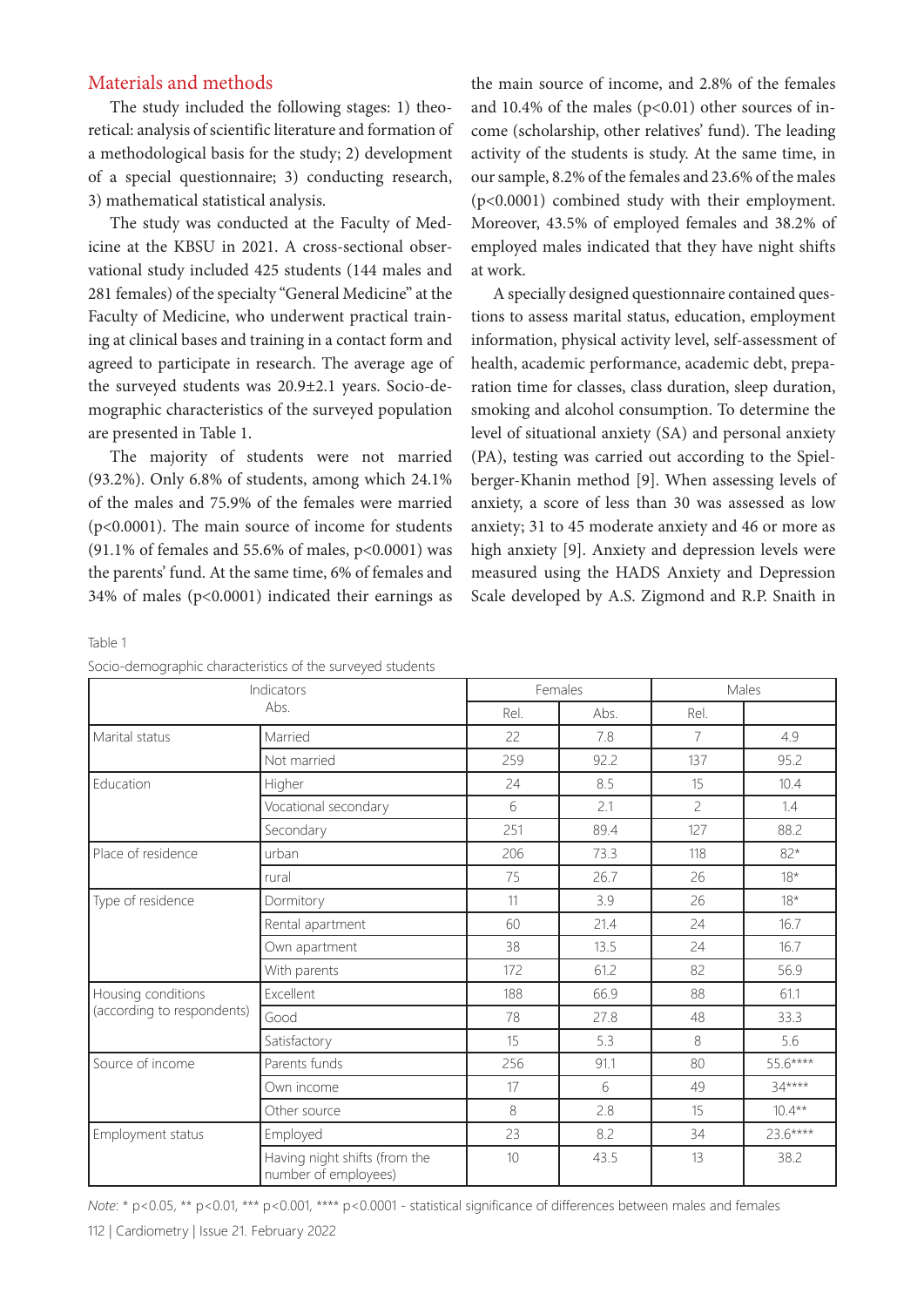#### Materials and methods

The study included the following stages: 1) theoretical: analysis of scientific literature and formation of a methodological basis for the study; 2) development of a special questionnaire; 3) conducting research, 3) mathematical statistical analysis.

The study was conducted at the Faculty of Medicine at the KBSU in 2021. A cross-sectional observational study included 425 students (144 males and 281 females) of the specialty "General Medicine" at the Faculty of Medicine, who underwent practical training at clinical bases and training in a contact form and agreed to participate in research. The average age of the surveyed students was 20.9±2.1 years. Socio-demographic characteristics of the surveyed population are presented in Table 1.

The majority of students were not married (93.2%). Only 6.8% of students, among which 24.1% of the males and 75.9% of the females were married (p<0.0001). The main source of income for students (91.1% of females and 55.6% of males,  $p<0.0001$ ) was the parents' fund. At the same time, 6% of females and 34% of males ( $p<0.0001$ ) indicated their earnings as the main source of income, and 2.8% of the females and 10.4% of the males  $(p<0.01)$  other sources of income (scholarship, other relatives' fund). The leading activity of the students is study. At the same time, in our sample, 8.2% of the females and 23.6% of the males (p<0.0001) combined study with their employment. Moreover, 43.5% of employed females and 38.2% of employed males indicated that they have night shifts at work.

A specially designed questionnaire contained questions to assess marital status, education, employment information, physical activity level, self-assessment of health, academic performance, academic debt, preparation time for classes, class duration, sleep duration, smoking and alcohol consumption. To determine the level of situational anxiety (SA) and personal anxiety (PA), testing was carried out according to the Spielberger-Khanin method [9]. When assessing levels of anxiety, a score of less than 30 was assessed as low anxiety; 31 to 45 moderate anxiety and 46 or more as high anxiety [9]. Anxiety and depression levels were measured using the HADS Anxiety and Depression Scale developed by A.S. Zigmond and R.P. Snaith in

Table 1

| Socio-demographic characteristics of the surveyed students |  |  |
|------------------------------------------------------------|--|--|
|------------------------------------------------------------|--|--|

| Indicators<br>Abs.         |                                                       |      | Females | Males                    |           |  |
|----------------------------|-------------------------------------------------------|------|---------|--------------------------|-----------|--|
|                            |                                                       | Rel. | Abs.    | Rel.                     |           |  |
| Marital status             | Married                                               | 22   | 7.8     | $\overline{7}$           | 4.9       |  |
|                            | Not married                                           | 259  | 92.2    | 137                      | 95.2      |  |
| Education                  | Higher                                                | 24   | 8.5     | 15                       | 10.4      |  |
|                            | Vocational secondary                                  | 6    | 2.1     | $\overline{\phantom{a}}$ | 1.4       |  |
|                            | Secondary                                             | 251  | 89.4    | 127                      | 88.2      |  |
| Place of residence         | urban                                                 | 206  | 73.3    | 118                      | $82*$     |  |
|                            | rural                                                 | 75   | 26.7    | 26                       | $18*$     |  |
| Type of residence          | Dormitory                                             | 11   | 3.9     | 26                       | $18*$     |  |
|                            | Rental apartment                                      | 60   | 21.4    | 24                       | 16.7      |  |
|                            | Own apartment                                         | 38   | 13.5    | 24                       | 16.7      |  |
|                            | With parents                                          | 172  | 61.2    | 82                       | 56.9      |  |
| Housing conditions         | Excellent                                             | 188  | 66.9    | 88                       | 61.1      |  |
| (according to respondents) | Good                                                  | 78   | 27.8    | 48                       | 33.3      |  |
|                            | Satisfactory                                          | 15   | 5.3     | 8                        | 5.6       |  |
| Source of income           | Parents funds                                         | 256  | 91.1    | 80                       | 55.6****  |  |
|                            | Own income                                            | 17   | 6       | 49                       | $34***$   |  |
|                            | Other source                                          | 8    | 2.8     | 15                       | $10.4***$ |  |
| Employment status          | Employed                                              | 23   | 8.2     | 34                       | 23.6****  |  |
|                            | Having night shifts (from the<br>number of employees) | 10   | 43.5    | 13                       | 38.2      |  |

*Note*: \* p<0.05, \*\* p<0.01, \*\*\* p<0.001, \*\*\* p<0.0001 - statistical significance of differences between males and females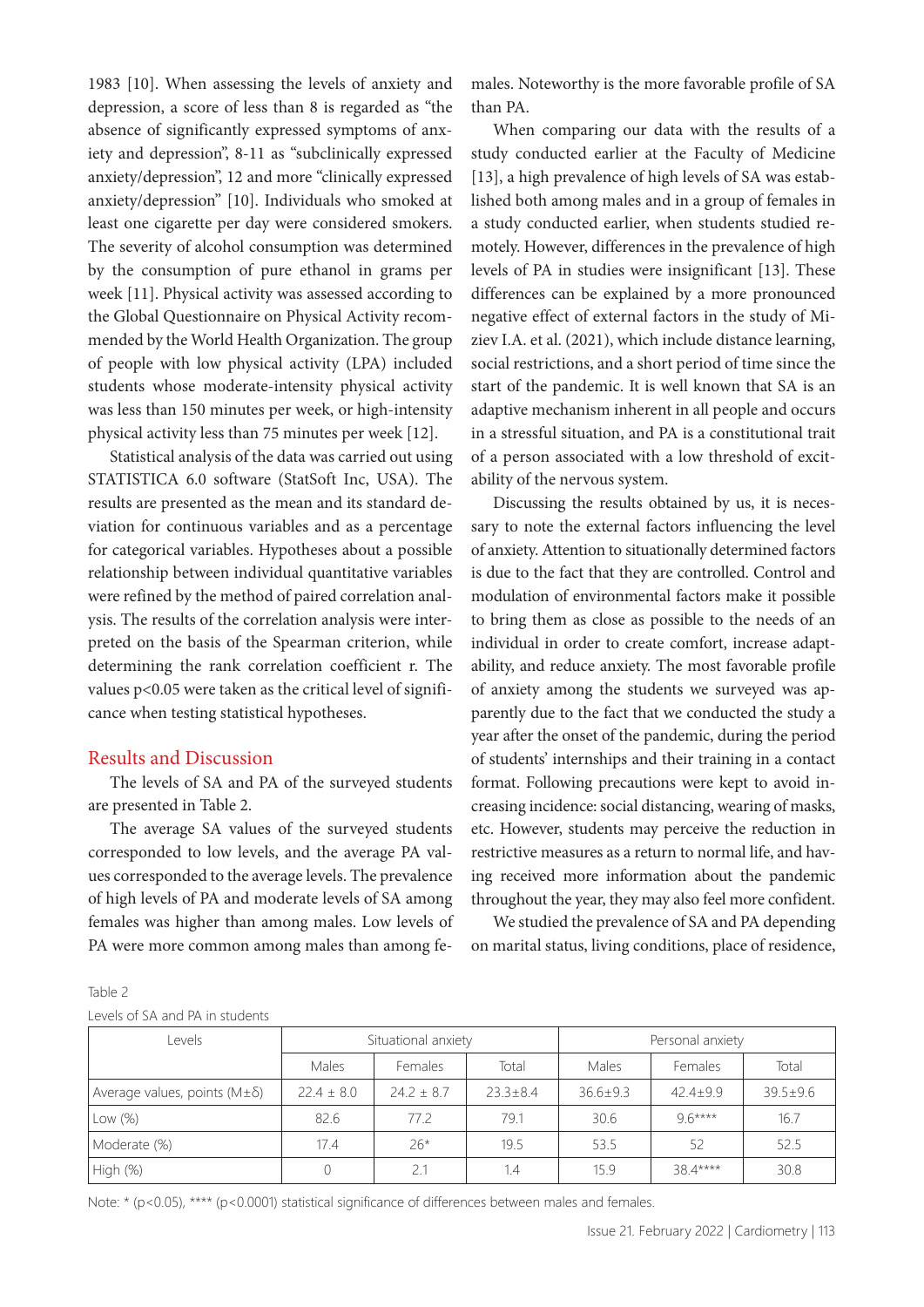1983 [10]. When assessing the levels of anxiety and depression, a score of less than 8 is regarded as "the absence of significantly expressed symptoms of anxiety and depression", 8-11 as "subclinically expressed anxiety/depression", 12 and more "clinically expressed anxiety/depression" [10]. Individuals who smoked at least one cigarette per day were considered smokers. The severity of alcohol consumption was determined by the consumption of pure ethanol in grams per week [11]. Physical activity was assessed according to the Global Questionnaire on Physical Activity recommended by the World Health Organization. The group of people with low physical activity (LPA) included students whose moderate-intensity physical activity was less than 150 minutes per week, or high-intensity physical activity less than 75 minutes per week [12].

Statistical analysis of the data was carried out using STATISTICА 6.0 software (StatSoft Inc, USA). The results are presented as the mean and its standard deviation for continuous variables and as a percentage for categorical variables. Hypotheses about a possible relationship between individual quantitative variables were refined by the method of paired correlation analysis. The results of the correlation analysis were interpreted on the basis of the Spearman criterion, while determining the rank correlation coefficient r. The values p<0.05 were taken as the critical level of significance when testing statistical hypotheses.

#### Results and Discussion

The levels of SA and PA of the surveyed students are presented in Table 2.

The average SA values of the surveyed students corresponded to low levels, and the average PA values corresponded to the average levels. The prevalence of high levels of PA and moderate levels of SA among females was higher than among males. Low levels of PA were more common among males than among females. Noteworthy is the more favorable profile of SA than PA.

When comparing our data with the results of a study conducted earlier at the Faculty of Medicine [13], a high prevalence of high levels of SA was established both among males and in a group of females in a study conducted earlier, when students studied remotely. However, differences in the prevalence of high levels of PA in studies were insignificant [13]. These differences can be explained by a more pronounced negative effect of external factors in the study of Miziev I.A. et al. (2021), which include distance learning, social restrictions, and a short period of time since the start of the pandemic. It is well known that SA is an adaptive mechanism inherent in all people and occurs in a stressful situation, and PA is a constitutional trait of a person associated with a low threshold of excitability of the nervous system.

Discussing the results obtained by us, it is necessary to note the external factors influencing the level of anxiety. Attention to situationally determined factors is due to the fact that they are controlled. Control and modulation of environmental factors make it possible to bring them as close as possible to the needs of an individual in order to create comfort, increase adaptability, and reduce anxiety. The most favorable profile of anxiety among the students we surveyed was apparently due to the fact that we conducted the study a year after the onset of the pandemic, during the period of students' internships and their training in a contact format. Following precautions were kept to avoid increasing incidence: social distancing, wearing of masks, etc. However, students may perceive the reduction in restrictive measures as a return to normal life, and having received more information about the pandemic throughout the year, they may also feel more confident.

We studied the prevalence of SA and PA depending on marital status, living conditions, place of residence,

| Table 2 |  |  |                                 |
|---------|--|--|---------------------------------|
|         |  |  | Levels of SA and PA in students |

| Levels                                  | Situational anxiety |              |              | Personal anxiety |            |                |
|-----------------------------------------|---------------------|--------------|--------------|------------------|------------|----------------|
|                                         | Males               | Females      | Total        | Males            | Females    | Total          |
| Average values, points $(M \pm \delta)$ | $22.4 \pm 8.0$      | $24.2 + 8.7$ | $23.3 + 8.4$ | $36.6 \pm 9.3$   | $42.4+9.9$ | $39.5 \pm 9.6$ |
| $\vert$ Low $(\%)$                      | 82.6                | 77.2         | 79.1         | 30.6             | $96***$    | 16.7           |
| Moderate (%)                            | 17.4                | $26*$        | 19.5         | 53.5             | 52         | 52.5           |
| High (%)                                |                     |              | 1.4          | 15.9             | 384****    | 30.8           |

Note: \* (p<0.05), \*\*\*\* (p<0.0001) statistical significance of differences between males and females.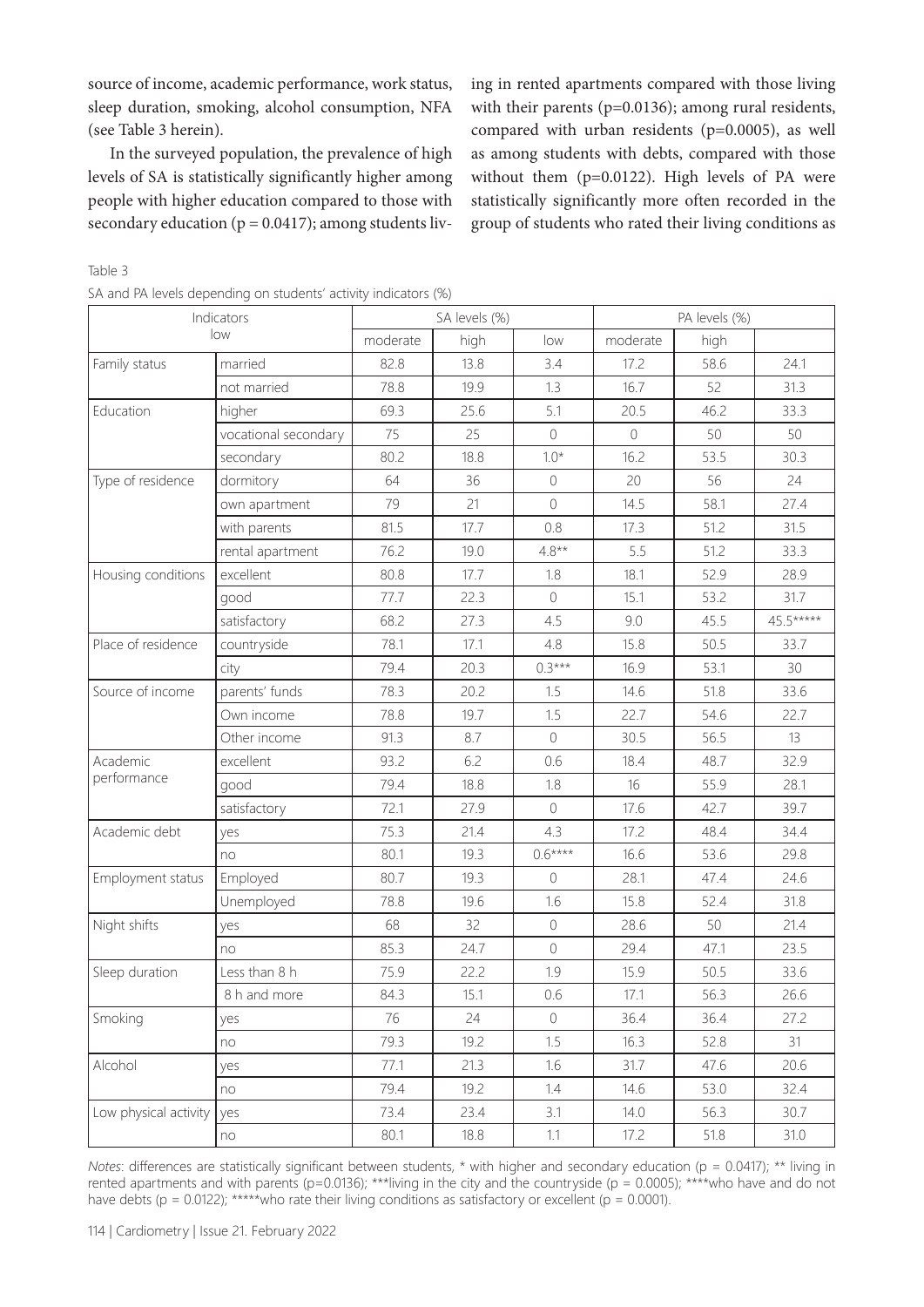source of income, academic performance, work status, sleep duration, smoking, alcohol consumption, NFA (see Table 3 herein).

In the surveyed population, the prevalence of high levels of SA is statistically significantly higher among people with higher education compared to those with secondary education ( $p = 0.0417$ ); among students living in rented apartments compared with those living with their parents (p=0.0136); among rural residents, compared with urban residents (p=0.0005), as well as among students with debts, compared with those without them (p=0.0122). High levels of PA were statistically significantly more often recorded in the group of students who rated their living conditions as

Table 3

|  |  | SA and PA levels depending on students' activity indicators (%) |  |
|--|--|-----------------------------------------------------------------|--|
|--|--|-----------------------------------------------------------------|--|

| Indicators            |                      | SA levels (%) |      |                | PA levels (%) |      |           |
|-----------------------|----------------------|---------------|------|----------------|---------------|------|-----------|
|                       | low                  | moderate      | high | low            | moderate      | high |           |
| Family status         | married              | 82.8          | 13.8 | 3.4            | 17.2          | 58.6 | 24.1      |
|                       | not married          | 78.8          | 19.9 | 1.3            | 16.7          | 52   | 31.3      |
| Education             | higher               | 69.3          | 25.6 | 5.1            | 20.5          | 46.2 | 33.3      |
|                       | vocational secondary | 75            | 25   | $\bigcirc$     | $\bigcirc$    | 50   | 50        |
|                       | secondary            | 80.2          | 18.8 | $1.0*$         | 16.2          | 53.5 | 30.3      |
| Type of residence     | dormitory            | 64            | 36   | $\overline{0}$ | 20            | 56   | 24        |
|                       | own apartment        | 79            | 21   | $\Omega$       | 14.5          | 58.1 | 27.4      |
|                       | with parents         | 81.5          | 17.7 | 0.8            | 17.3          | 51.2 | 31.5      |
|                       | rental apartment     | 76.2          | 19.0 | $4.8**$        | 5.5           | 51.2 | 33.3      |
| Housing conditions    | excellent            | 80.8          | 17.7 | 1.8            | 18.1          | 52.9 | 28.9      |
|                       | good                 | 77.7          | 22.3 | $\bigcirc$     | 15.1          | 53.2 | 31.7      |
|                       | satisfactory         | 68.2          | 27.3 | 4.5            | 9.0           | 45.5 | 45.5***** |
| Place of residence    | countryside          | 78.1          | 17.1 | 4.8            | 15.8          | 50.5 | 33.7      |
|                       | city                 | 79.4          | 20.3 | $0.3***$       | 16.9          | 53.1 | 30        |
| Source of income      | parents' funds       | 78.3          | 20.2 | 1.5            | 14.6          | 51.8 | 33.6      |
|                       | Own income           | 78.8          | 19.7 | 1.5            | 22.7          | 54.6 | 22.7      |
|                       | Other income         | 91.3          | 8.7  | $\overline{0}$ | 30.5          | 56.5 | 13        |
| Academic              | excellent            | 93.2          | 6.2  | 0.6            | 18.4          | 48.7 | 32.9      |
| performance           | good                 | 79.4          | 18.8 | 1.8            | 16            | 55.9 | 28.1      |
|                       | satisfactory         | 72.1          | 27.9 | $\bigcirc$     | 17.6          | 42.7 | 39.7      |
| Academic debt         | yes                  | 75.3          | 21.4 | 4.3            | 17.2          | 48.4 | 34.4      |
|                       | no                   | 80.1          | 19.3 | $0.6***$       | 16.6          | 53.6 | 29.8      |
| Employment status     | Employed             | 80.7          | 19.3 | $\Omega$       | 28.1          | 47.4 | 24.6      |
|                       | Unemployed           | 78.8          | 19.6 | 1.6            | 15.8          | 52.4 | 31.8      |
| Night shifts          | yes                  | 68            | 32   | $\circledcirc$ | 28.6          | 50   | 21.4      |
|                       | no                   | 85.3          | 24.7 | $\sqrt{a}$     | 29.4          | 47.1 | 23.5      |
| Sleep duration        | Less than 8 h        | 75.9          | 22.2 | 1.9            | 15.9          | 50.5 | 33.6      |
|                       | 8 h and more         | 84.3          | 15.1 | 0.6            | 17.1          | 56.3 | 26.6      |
| Smoking               | yes                  | 76            | 24   | $\circ$        | 36.4          | 36.4 | 27.2      |
|                       | no                   | 79.3          | 19.2 | 1.5            | 16.3          | 52.8 | 31        |
| Alcohol               | yes                  | 77.1          | 21.3 | 1.6            | 31.7          | 47.6 | 20.6      |
|                       | no                   | 79.4          | 19.2 | 1.4            | 14.6          | 53.0 | 32.4      |
| Low physical activity | yes                  | 73.4          | 23.4 | 3.1            | 14.0          | 56.3 | 30.7      |
|                       | no                   | 80.1          | 18.8 | 1.1            | 17.2          | 51.8 | 31.0      |

*Notes*: differences are statistically significant between students, \* with higher and secondary education (p = 0.0417); \*\* living in rented apartments and with parents (p=0.0136); \*\*\*living in the city and the countryside (p = 0.0005); \*\*\*\*who have and do not have debts (p = 0.0122); \*\*\*\*\*who rate their living conditions as satisfactory or excellent (p = 0.0001).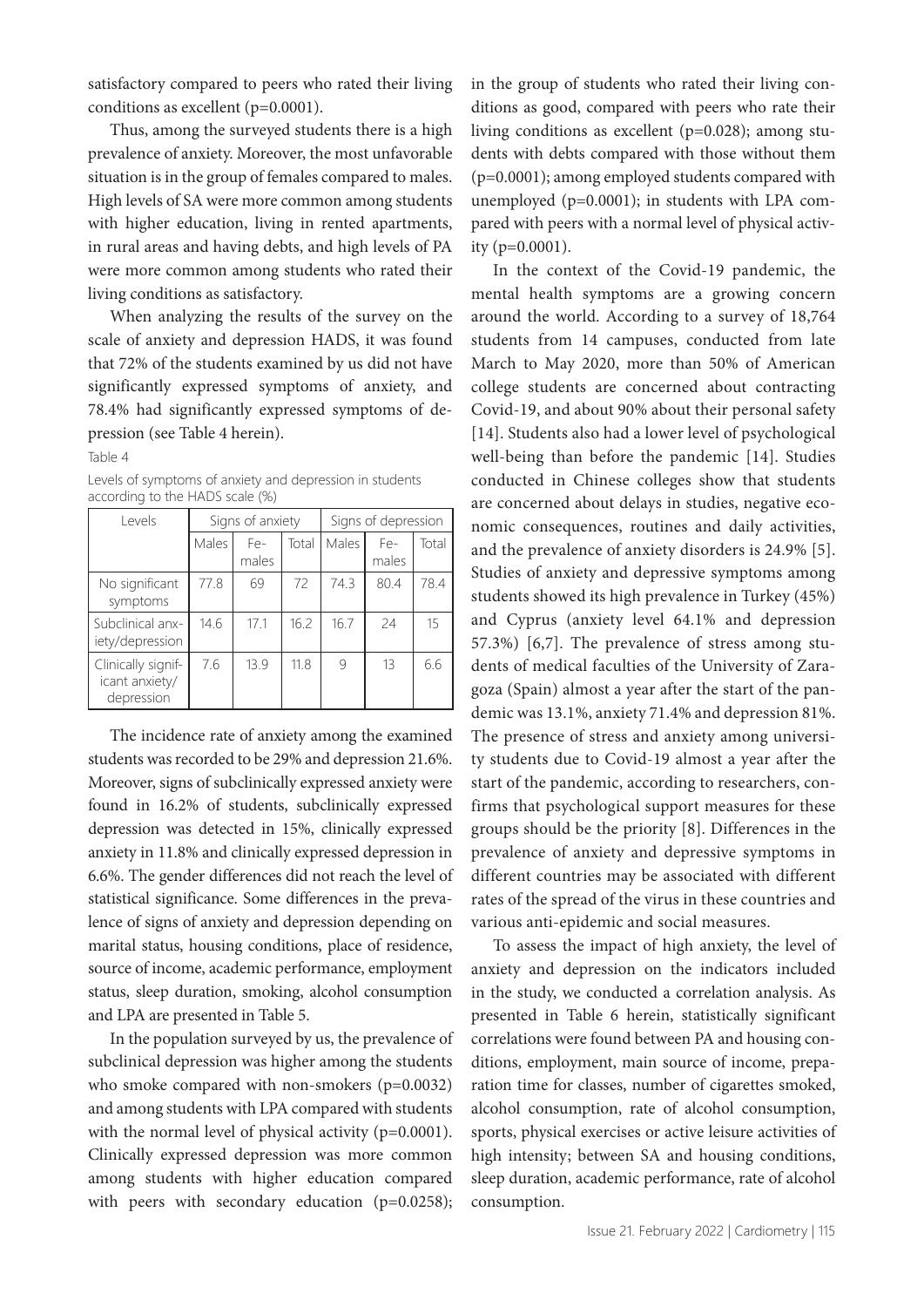satisfactory compared to peers who rated their living conditions as excellent (p=0.0001).

Thus, among the surveyed students there is a high prevalence of anxiety. Moreover, the most unfavorable situation is in the group of females compared to males. High levels of SA were more common among students with higher education, living in rented apartments, in rural areas and having debts, and high levels of PA were more common among students who rated their living conditions as satisfactory.

When analyzing the results of the survey on the scale of anxiety and depression HADS, it was found that 72% of the students examined by us did not have significantly expressed symptoms of anxiety, and 78.4% had significantly expressed symptoms of depression (see Table 4 herein).

Table 4

Levels of symptoms of anxiety and depression in students according to the HADS scale (%)

| Levels                                             |       | Signs of anxiety |       | Signs of depression |              |       |
|----------------------------------------------------|-------|------------------|-------|---------------------|--------------|-------|
|                                                    | Males | Fe-<br>males     | Total | Males               | Fe-<br>males | Total |
| No significant<br>symptoms                         | 77.8  | 69               | 72    | 74.3                | 80.4         | 78.4  |
| Subclinical anx-<br>iety/depression                | 14.6  | 17.1             | 16.2  | 16.7                | 24           | 15    |
| Clinically signif-<br>icant anxiety/<br>depression | 7.6   | 13.9             | 11.8  | 9                   | 13           | 6.6   |

The incidence rate of anxiety among the examined students was recorded to be 29% and depression 21.6%. Moreover, signs of subclinically expressed anxiety were found in 16.2% of students, subclinically expressed depression was detected in 15%, clinically expressed anxiety in 11.8% and clinically expressed depression in 6.6%. The gender differences did not reach the level of statistical significance. Some differences in the prevalence of signs of anxiety and depression depending on marital status, housing conditions, place of residence, source of income, academic performance, employment status, sleep duration, smoking, alcohol consumption and LPA are presented in Table 5.

In the population surveyed by us, the prevalence of subclinical depression was higher among the students who smoke compared with non-smokers (p=0.0032) and among students with LPA compared with students with the normal level of physical activity (p=0.0001). Clinically expressed depression was more common among students with higher education compared with peers with secondary education (p=0.0258);

in the group of students who rated their living conditions as good, compared with peers who rate their living conditions as excellent (p=0.028); among students with debts compared with those without them (p=0.0001); among employed students compared with unemployed (p=0.0001); in students with LPA compared with peers with a normal level of physical activity (p=0.0001).

In the context of the Covid-19 pandemic, the mental health symptoms are a growing concern around the world. According to a survey of 18,764 students from 14 campuses, conducted from late March to May 2020, more than 50% of American college students are concerned about contracting Covid-19, and about 90% about their personal safety [14]. Students also had a lower level of psychological well-being than before the pandemic [14]. Studies conducted in Chinese colleges show that students are concerned about delays in studies, negative economic consequences, routines and daily activities, and the prevalence of anxiety disorders is 24.9% [5]. Studies of anxiety and depressive symptoms among students showed its high prevalence in Turkey (45%) and Cyprus (anxiety level 64.1% and depression 57.3%) [6,7]. The prevalence of stress among students of medical faculties of the University of Zaragoza (Spain) almost a year after the start of the pandemic was 13.1%, anxiety 71.4% and depression 81%. The presence of stress and anxiety among university students due to Covid-19 almost a year after the start of the pandemic, according to researchers, confirms that psychological support measures for these groups should be the priority [8]. Differences in the prevalence of anxiety and depressive symptoms in different countries may be associated with different rates of the spread of the virus in these countries and various anti-epidemic and social measures.

To assess the impact of high anxiety, the level of anxiety and depression on the indicators included in the study, we conducted a correlation analysis. As presented in Table 6 herein, statistically significant correlations were found between PA and housing conditions, employment, main source of income, preparation time for classes, number of cigarettes smoked, alcohol consumption, rate of alcohol consumption, sports, physical exercises or active leisure activities of high intensity; between SA and housing conditions, sleep duration, academic performance, rate of alcohol consumption.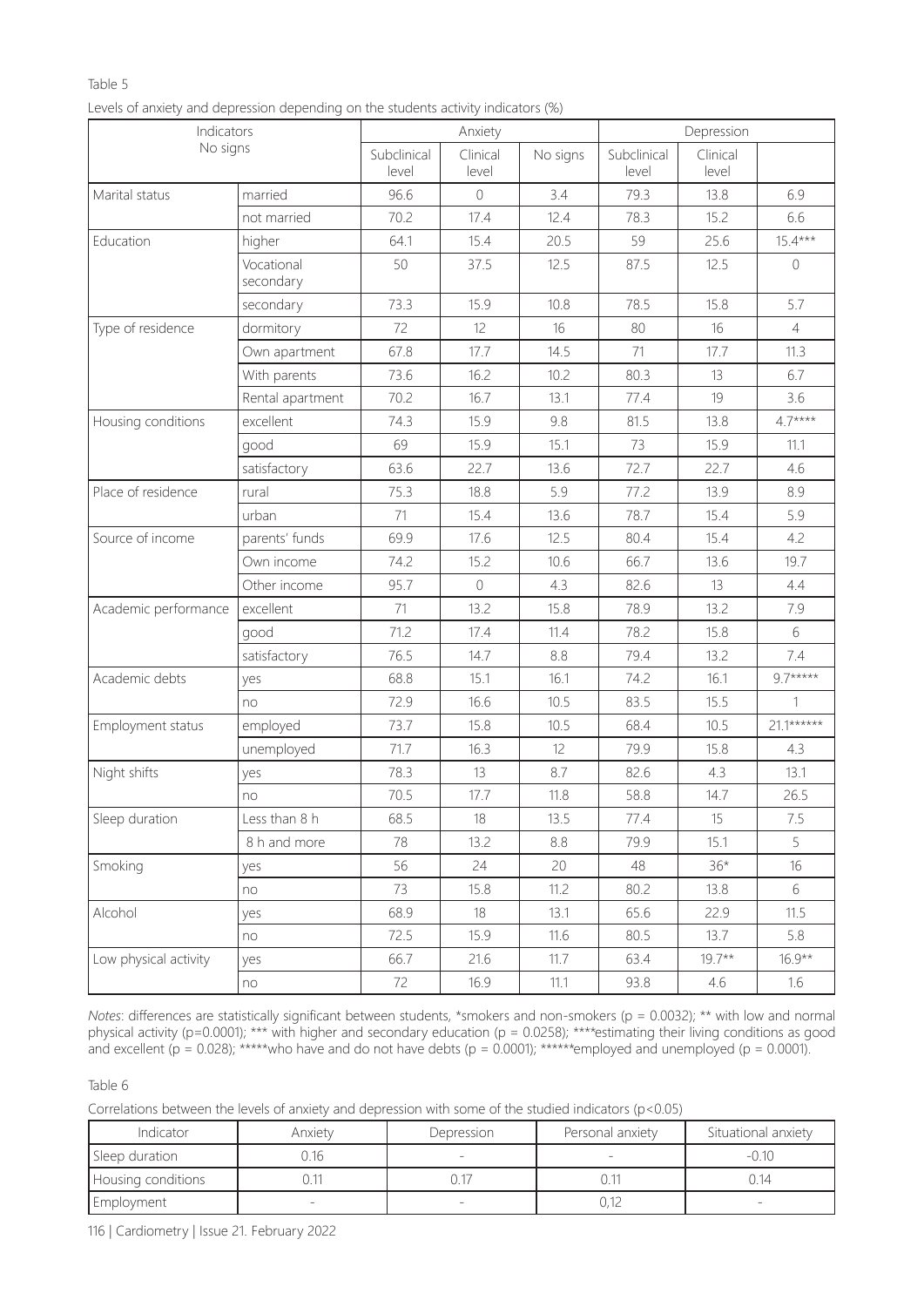## Table 5

|  |  | Levels of anxiety and depression depending on the students activity indicators (%) |
|--|--|------------------------------------------------------------------------------------|
|  |  |                                                                                    |
|  |  |                                                                                    |
|  |  |                                                                                    |

| Indicators<br>No signs |                         | Anxiety              |                   |          | Depression           |                   |                |
|------------------------|-------------------------|----------------------|-------------------|----------|----------------------|-------------------|----------------|
|                        |                         | Subclinical<br>level | Clinical<br>level | No signs | Subclinical<br>level | Clinical<br>level |                |
| Marital status         | married                 | 96.6                 | $\mathbf 0$       | 3.4      | 79.3                 | 13.8              | 6.9            |
|                        | not married             | 70.2                 | 17.4              | 12.4     | 78.3                 | 15.2              | 6.6            |
| Education              | higher                  | 64.1                 | 15.4              | 20.5     | 59                   | 25.6              | $15.4***$      |
|                        | Vocational<br>secondary | 50                   | 37.5              | 12.5     | 87.5                 | 12.5              | $\mathbf 0$    |
|                        | secondary               | 73.3                 | 15.9              | 10.8     | 78.5                 | 15.8              | 5.7            |
| Type of residence      | dormitory               | 72                   | 12                | 16       | 80                   | 16                | $\overline{4}$ |
|                        | Own apartment           | 67.8                 | 17.7              | 14.5     | 71                   | 17.7              | 11.3           |
|                        | With parents            | 73.6                 | 16.2              | 10.2     | 80.3                 | 13                | 6.7            |
|                        | Rental apartment        | 70.2                 | 16.7              | 13.1     | 77.4                 | 19                | 3.6            |
| Housing conditions     | excellent               | 74.3                 | 15.9              | 9.8      | 81.5                 | 13.8              | $4.7***$       |
|                        | good                    | 69                   | 15.9              | 15.1     | 73                   | 15.9              | 11.1           |
|                        | satisfactory            | 63.6                 | 22.7              | 13.6     | 72.7                 | 22.7              | 4.6            |
| Place of residence     | rural                   | 75.3                 | 18.8              | 5.9      | 77.2                 | 13.9              | 8.9            |
|                        | urban                   | 71                   | 15.4              | 13.6     | 78.7                 | 15.4              | 5.9            |
| Source of income       | parents' funds          | 69.9                 | 17.6              | 12.5     | 80.4                 | 15.4              | 4.2            |
|                        | Own income              | 74.2                 | 15.2              | 10.6     | 66.7                 | 13.6              | 19.7           |
|                        | Other income            | 95.7                 | $\overline{0}$    | 4.3      | 82.6                 | 13                | 4.4            |
| Academic performance   | excellent               | 71                   | 13.2              | 15.8     | 78.9                 | 13.2              | 7.9            |
|                        | good                    | 71.2                 | 17.4              | 11.4     | 78.2                 | 15.8              | 6              |
|                        | satisfactory            | 76.5                 | 14.7              | 8.8      | 79.4                 | 13.2              | 7.4            |
| Academic debts         | yes                     | 68.8                 | 15.1              | 16.1     | 74.2                 | 16.1              | $9.7***$       |
|                        | no                      | 72.9                 | 16.6              | 10.5     | 83.5                 | 15.5              | $\mathbf{1}$   |
| Employment status      | employed                | 73.7                 | 15.8              | 10.5     | 68.4                 | 10.5              | $21.1******$   |
|                        | unemployed              | 71.7                 | 16.3              | 12       | 79.9                 | 15.8              | 4.3            |
| Night shifts           | yes                     | 78.3                 | 13                | 8.7      | 82.6                 | 4.3               | 13.1           |
|                        | no                      | 70.5                 | 17.7              | 11.8     | 58.8                 | 14.7              | 26.5           |
| Sleep duration         | Less than 8 h           | 68.5                 | 18                | 13.5     | 77.4                 | 15                | 7.5            |
|                        | 8 h and more            | 78                   | 13.2              | 8.8      | 79.9                 | 15.1              | 5              |
| Smoking                | yes                     | 56                   | 24                | 20       | 48                   | $36*$             | 16             |
|                        | no                      | 73                   | 15.8              | 11.2     | 80.2                 | 13.8              | 6              |
| Alcohol                | yes                     | 68.9                 | 18                | 13.1     | 65.6                 | 22.9              | 11.5           |
|                        | no                      | 72.5                 | 15.9              | 11.6     | 80.5                 | 13.7              | 5.8            |
| Low physical activity  | yes                     | 66.7                 | 21.6              | 11.7     | 63.4                 | $19.7**$          | $16.9**$       |
|                        | no                      | 72                   | 16.9              | 11.1     | 93.8                 | 4.6               | 1.6            |

*Notes*: differences are statistically significant between students, \*smokers and non-smokers (p = 0.0032); \*\* with low and normal physical activity (p=0.0001); \*\*\* with higher and secondary education (p = 0.0258); \*\*\*\*estimating their living conditions as good and excellent (p = 0.028); \*\*\*\*\*who have and do not have debts (р = 0.0001); \*\*\*\*\*\*employed and unemployed (p = 0.0001).

Table 6

Correlations between the levels of anxiety and depression with some of the studied indicators (p<0.05)

| Indicator          | Anxiety | Depression | Personal anxiety | Situational anxiety |
|--------------------|---------|------------|------------------|---------------------|
| Sleep duration     | 116     |            |                  | $-0.10$             |
| Housing conditions |         |            |                  | .J.14               |
| Employment         |         |            | 0,12             |                     |

116 | Cardiometry | Issue 21. February 2022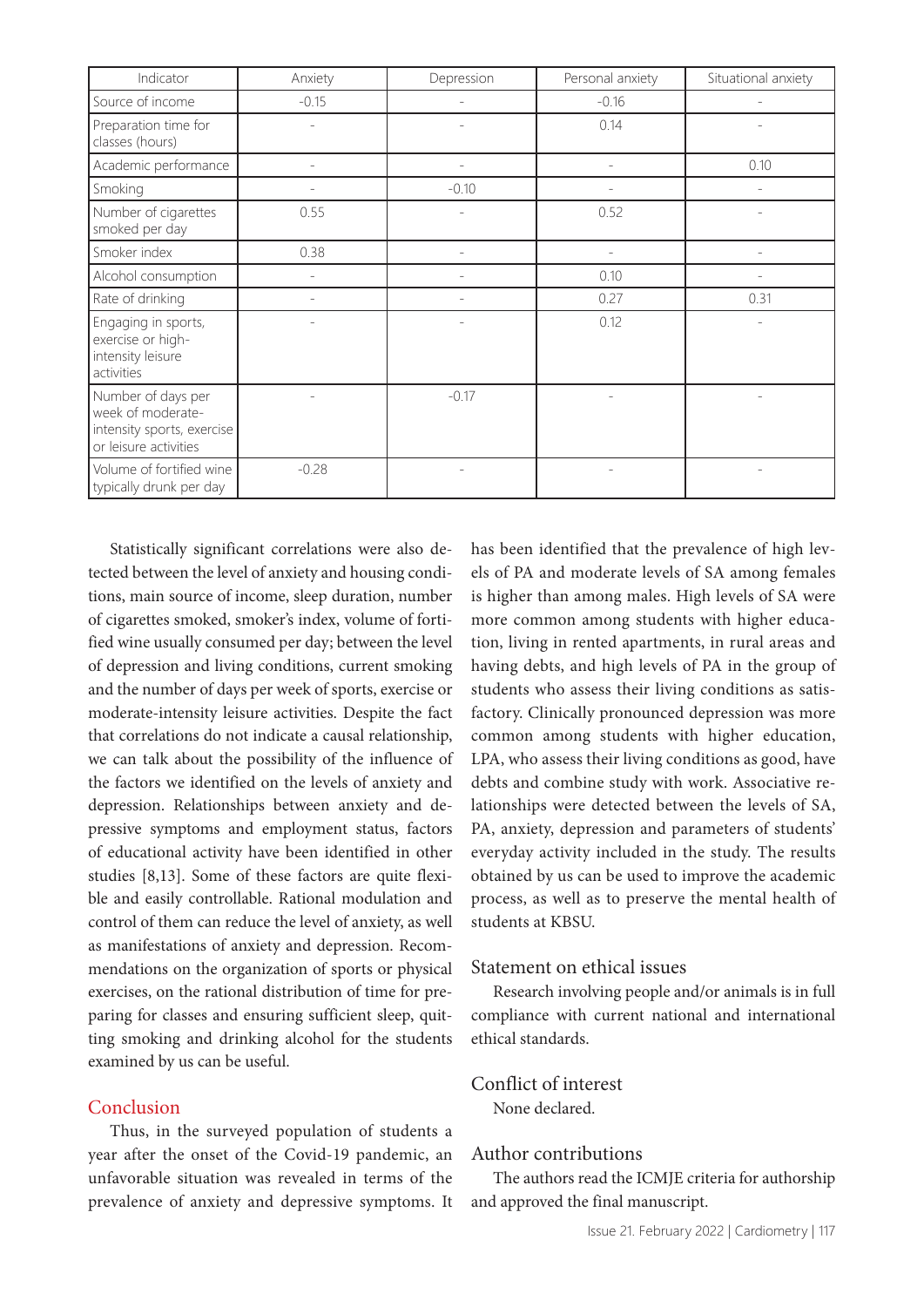| Indicator                                                                                      | Anxiety                  | Depression | Personal anxiety | Situational anxiety |
|------------------------------------------------------------------------------------------------|--------------------------|------------|------------------|---------------------|
| Source of income                                                                               | $-0.15$                  |            | $-0.16$          |                     |
| Preparation time for<br>classes (hours)                                                        |                          |            | 0.14             |                     |
| Academic performance                                                                           |                          |            |                  | 0.10                |
| Smoking                                                                                        |                          | $-0.10$    |                  |                     |
| Number of cigarettes<br>smoked per day                                                         | 0.55                     |            | 0.52             |                     |
| Smoker index                                                                                   | 0.38                     |            | -                |                     |
| Alcohol consumption                                                                            | $\overline{\phantom{a}}$ |            | 0.10             |                     |
| Rate of drinking                                                                               | $\overline{\phantom{a}}$ |            | 0.27             | 0.31                |
| Engaging in sports,<br>exercise or high-<br>intensity leisure<br>activities                    |                          |            | 0.12             |                     |
| Number of days per<br>week of moderate-<br>intensity sports, exercise<br>or leisure activities |                          | $-0.17$    |                  |                     |
| Volume of fortified wine<br>typically drunk per day                                            | $-0.28$                  |            |                  |                     |

Statistically significant correlations were also detected between the level of anxiety and housing conditions, main source of income, sleep duration, number of cigarettes smoked, smoker's index, volume of fortified wine usually consumed per day; between the level of depression and living conditions, current smoking and the number of days per week of sports, exercise or moderate-intensity leisure activities. Despite the fact that correlations do not indicate a causal relationship, we can talk about the possibility of the influence of the factors we identified on the levels of anxiety and depression. Relationships between anxiety and depressive symptoms and employment status, factors of educational activity have been identified in other studies [8,13]. Some of these factors are quite flexible and easily controllable. Rational modulation and control of them can reduce the level of anxiety, as well as manifestations of anxiety and depression. Recommendations on the organization of sports or physical exercises, on the rational distribution of time for preparing for classes and ensuring sufficient sleep, quitting smoking and drinking alcohol for the students examined by us can be useful.

#### Conclusion

Thus, in the surveyed population of students a year after the onset of the Covid-19 pandemic, an unfavorable situation was revealed in terms of the prevalence of anxiety and depressive symptoms. It has been identified that the prevalence of high levels of PA and moderate levels of SA among females is higher than among males. High levels of SA were more common among students with higher education, living in rented apartments, in rural areas and having debts, and high levels of PA in the group of students who assess their living conditions as satisfactory. Clinically pronounced depression was more common among students with higher education, LPA, who assess their living conditions as good, have debts and combine study with work. Associative relationships were detected between the levels of SA, PA, anxiety, depression and parameters of students' everyday activity included in the study. The results obtained by us can be used to improve the academic process, as well as to preserve the mental health of students at KBSU.

## Statement on ethical issues

Research involving people and/or animals is in full compliance with current national and international ethical standards.

## Conflict of interest

None declared.

#### Author contributions

The authors read the ICMJE criteria for authorship and approved the final manuscript.